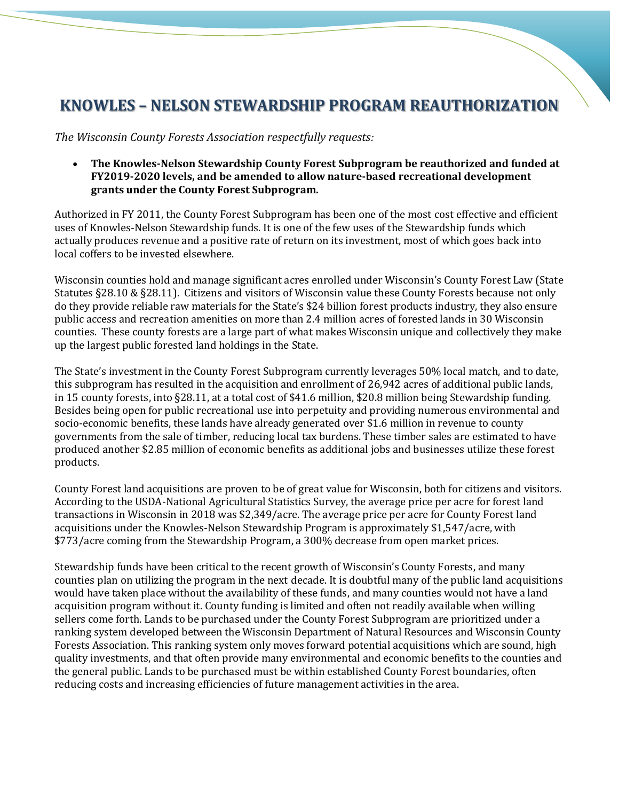# **KNOWLES – NELSON STEWARDSHIP PROGRAM REAUTHORIZATION**

*The Wisconsin County Forests Association respectfully requests:*

• **The Knowles-Nelson Stewardship County Forest Subprogram be reauthorized and funded at FY2019-2020 levels, and be amended to allow nature-based recreational development grants under the County Forest Subprogram.** 

Authorized in FY 2011, the County Forest Subprogram has been one of the most cost effective and efficient uses of Knowles-Nelson Stewardship funds. It is one of the few uses of the Stewardship funds which actually produces revenue and a positive rate of return on its investment, most of which goes back into local coffers to be invested elsewhere.

Wisconsin counties hold and manage significant acres enrolled under Wisconsin's County Forest Law (State Statutes §28.10 & §28.11). Citizens and visitors of Wisconsin value these County Forests because not only do they provide reliable raw materials for the State's \$24 billion forest products industry, they also ensure public access and recreation amenities on more than 2.4 million acres of forested lands in 30 Wisconsin counties. These county forests are a large part of what makes Wisconsin unique and collectively they make up the largest public forested land holdings in the State.

The State's investment in the County Forest Subprogram currently leverages 50% local match, and to date, this subprogram has resulted in the acquisition and enrollment of 26,942 acres of additional public lands, in 15 county forests, into §28.11, at a total cost of \$41.6 million, \$20.8 million being Stewardship funding. Besides being open for public recreational use into perpetuity and providing numerous environmental and socio-economic benefits, these lands have already generated over \$1.6 million in revenue to county governments from the sale of timber, reducing local tax burdens. These timber sales are estimated to have produced another \$2.85 million of economic benefits as additional jobs and businesses utilize these forest products.

County Forest land acquisitions are proven to be of great value for Wisconsin, both for citizens and visitors. According to the USDA-National Agricultural Statistics Survey, the average price per acre for forest land transactions in Wisconsin in 2018 was \$2,349/acre. The average price per acre for County Forest land acquisitions under the Knowles-Nelson Stewardship Program is approximately \$1,547/acre, with \$773/acre coming from the Stewardship Program, a 300% decrease from open market prices.

Stewardship funds have been critical to the recent growth of Wisconsin's County Forests, and many counties plan on utilizing the program in the next decade. It is doubtful many of the public land acquisitions would have taken place without the availability of these funds, and many counties would not have a land acquisition program without it. County funding is limited and often not readily available when willing sellers come forth. Lands to be purchased under the County Forest Subprogram are prioritized under a ranking system developed between the Wisconsin Department of Natural Resources and Wisconsin County Forests Association. This ranking system only moves forward potential acquisitions which are sound, high quality investments, and that often provide many environmental and economic benefits to the counties and the general public. Lands to be purchased must be within established County Forest boundaries, often reducing costs and increasing efficiencies of future management activities in the area.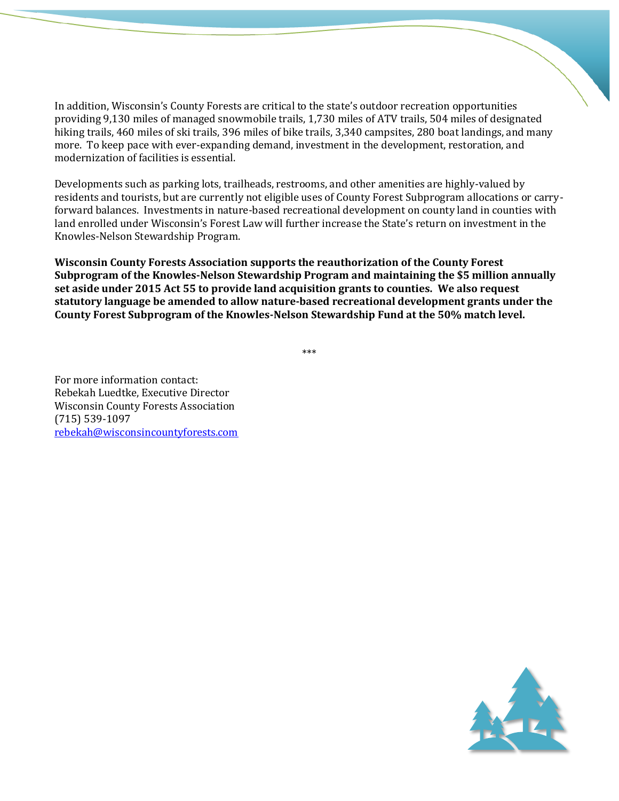In addition, Wisconsin's County Forests are critical to the state's outdoor recreation opportunities providing 9,130 miles of managed snowmobile trails, 1,730 miles of ATV trails, 504 miles of designated hiking trails, 460 miles of ski trails, 396 miles of bike trails, 3,340 campsites, 280 boat landings, and many more. To keep pace with ever-expanding demand, investment in the development, restoration, and modernization of facilities is essential.

Developments such as parking lots, trailheads, restrooms, and other amenities are highly-valued by residents and tourists, but are currently not eligible uses of County Forest Subprogram allocations or carryforward balances. Investments in nature-based recreational development on county land in counties with land enrolled under Wisconsin's Forest Law will further increase the State's return on investment in the Knowles-Nelson Stewardship Program.

**Wisconsin County Forests Association supports the reauthorization of the County Forest Subprogram of the Knowles-Nelson Stewardship Program and maintaining the \$5 million annually set aside under 2015 Act 55 to provide land acquisition grants to counties. We also request statutory language be amended to allow nature-based recreational development grants under the County Forest Subprogram of the Knowles-Nelson Stewardship Fund at the 50% match level.**

\*\*\*

For more information contact: Rebekah Luedtke, Executive Director Wisconsin County Forests Association (715) 539-1097 [rebekah@wisconsincountyforests.com](mailto:rebekah@wisconsincountyforests.com)

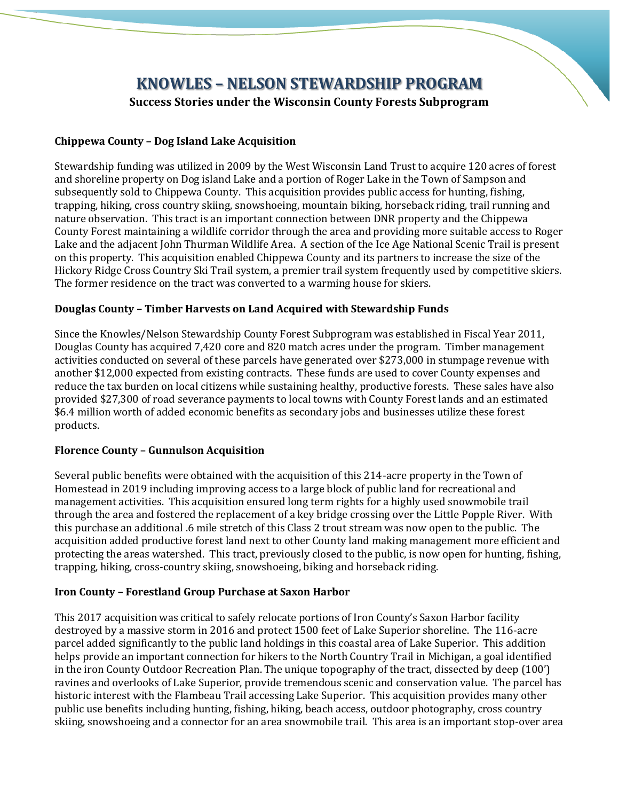# **KNOWLES – NELSON STEWARDSHIP PROGRAM Success Stories under the Wisconsin County Forests Subprogram**

#### **Chippewa County – Dog Island Lake Acquisition**

Stewardship funding was utilized in 2009 by the West Wisconsin Land Trust to acquire 120 acres of forest and shoreline property on Dog island Lake and a portion of Roger Lake in the Town of Sampson and subsequently sold to Chippewa County. This acquisition provides public access for hunting, fishing, trapping, hiking, cross country skiing, snowshoeing, mountain biking, horseback riding, trail running and nature observation. This tract is an important connection between DNR property and the Chippewa County Forest maintaining a wildlife corridor through the area and providing more suitable access to Roger Lake and the adjacent John Thurman Wildlife Area. A section of the Ice Age National Scenic Trail is present on this property. This acquisition enabled Chippewa County and its partners to increase the size of the Hickory Ridge Cross Country Ski Trail system, a premier trail system frequently used by competitive skiers. The former residence on the tract was converted to a warming house for skiers.

## **Douglas County – Timber Harvests on Land Acquired with Stewardship Funds**

Since the Knowles/Nelson Stewardship County Forest Subprogram was established in Fiscal Year 2011, Douglas County has acquired 7,420 core and 820 match acres under the program. Timber management activities conducted on several of these parcels have generated over \$273,000 in stumpage revenue with another \$12,000 expected from existing contracts. These funds are used to cover County expenses and reduce the tax burden on local citizens while sustaining healthy, productive forests. These sales have also provided \$27,300 of road severance payments to local towns with County Forest lands and an estimated \$6.4 million worth of added economic benefits as secondary jobs and businesses utilize these forest products.

#### **Florence County – Gunnulson Acquisition**

Several public benefits were obtained with the acquisition of this 214-acre property in the Town of Homestead in 2019 including improving access to a large block of public land for recreational and management activities. This acquisition ensured long term rights for a highly used snowmobile trail through the area and fostered the replacement of a key bridge crossing over the Little Popple River. With this purchase an additional .6 mile stretch of this Class 2 trout stream was now open to the public. The acquisition added productive forest land next to other County land making management more efficient and protecting the areas watershed. This tract, previously closed to the public, is now open for hunting, fishing, trapping, hiking, cross-country skiing, snowshoeing, biking and horseback riding.

#### **Iron County – Forestland Group Purchase at Saxon Harbor**

This 2017 acquisition was critical to safely relocate portions of Iron County's Saxon Harbor facility destroyed by a massive storm in 2016 and protect 1500 feet of Lake Superior shoreline. The 116-acre parcel added significantly to the public land holdings in this coastal area of Lake Superior. This addition helps provide an important connection for hikers to the North Country Trail in Michigan, a goal identified in the iron County Outdoor Recreation Plan. The unique topography of the tract, dissected by deep (100') ravines and overlooks of Lake Superior, provide tremendous scenic and conservation value. The parcel has historic interest with the Flambeau Trail accessing Lake Superior. This acquisition provides many other public use benefits including hunting, fishing, hiking, beach access, outdoor photography, cross country skiing, snowshoeing and a connector for an area snowmobile trail. This area is an important stop-over area